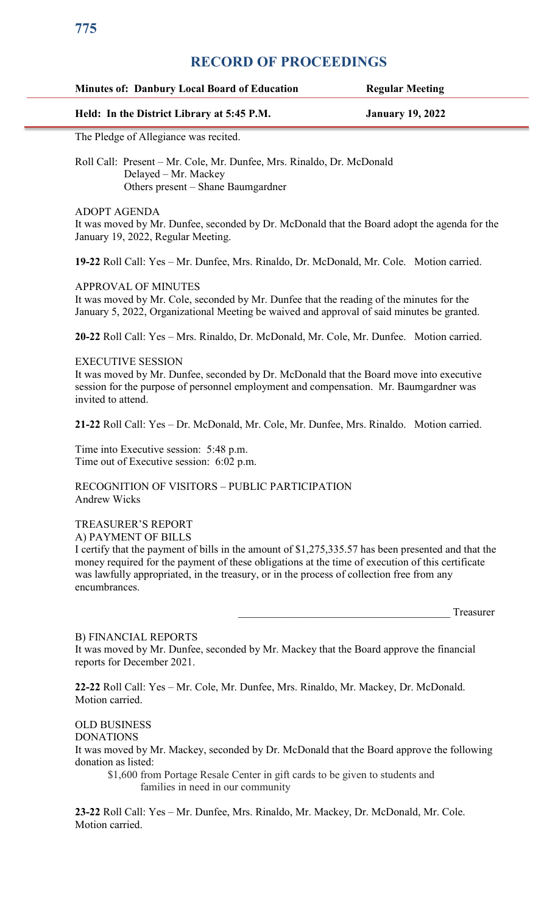# **RECORD OF PROCEEDINGS**

### **Minutes of: Danbury Local Board of Education Regular Meeting**

## **Held: In the District Library at 5:45 P.M. January 19, 2022**

The Pledge of Allegiance was recited.

Roll Call: Present – Mr. Cole, Mr. Dunfee, Mrs. Rinaldo, Dr. McDonald Delayed – Mr. Mackey Others present – Shane Baumgardner

ADOPT AGENDA

It was moved by Mr. Dunfee, seconded by Dr. McDonald that the Board adopt the agenda for the January 19, 2022, Regular Meeting.

**19-22** Roll Call: Yes – Mr. Dunfee, Mrs. Rinaldo, Dr. McDonald, Mr. Cole. Motion carried.

#### APPROVAL OF MINUTES

It was moved by Mr. Cole, seconded by Mr. Dunfee that the reading of the minutes for the January 5, 2022, Organizational Meeting be waived and approval of said minutes be granted.

**20-22** Roll Call: Yes – Mrs. Rinaldo, Dr. McDonald, Mr. Cole, Mr. Dunfee. Motion carried.

#### EXECUTIVE SESSION

It was moved by Mr. Dunfee, seconded by Dr. McDonald that the Board move into executive session for the purpose of personnel employment and compensation. Mr. Baumgardner was invited to attend.

**21-22** Roll Call: Yes – Dr. McDonald, Mr. Cole, Mr. Dunfee, Mrs. Rinaldo. Motion carried.

Time into Executive session: 5:48 p.m. Time out of Executive session: 6:02 p.m.

RECOGNITION OF VISITORS – PUBLIC PARTICIPATION Andrew Wicks

## TREASURER'S REPORT

A) PAYMENT OF BILLS

I certify that the payment of bills in the amount of \$1,275,335.57 has been presented and that the money required for the payment of these obligations at the time of execution of this certificate was lawfully appropriated, in the treasury, or in the process of collection free from any encumbrances.

Treasurer

#### B) FINANCIAL REPORTS

It was moved by Mr. Dunfee, seconded by Mr. Mackey that the Board approve the financial reports for December 2021.

**22-22** Roll Call: Yes – Mr. Cole, Mr. Dunfee, Mrs. Rinaldo, Mr. Mackey, Dr. McDonald. Motion carried.

## OLD BUSINESS

DONATIONS

It was moved by Mr. Mackey, seconded by Dr. McDonald that the Board approve the following donation as listed:

\$1,600 from Portage Resale Center in gift cards to be given to students and families in need in our community

**23-22** Roll Call: Yes – Mr. Dunfee, Mrs. Rinaldo, Mr. Mackey, Dr. McDonald, Mr. Cole. Motion carried.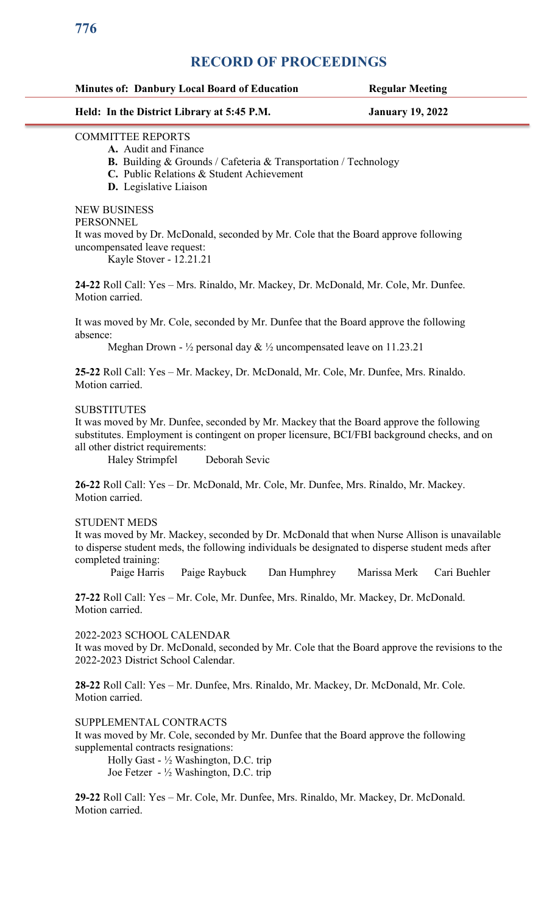# **RECORD OF PROCEEDINGS**

| <b>Minutes of: Danbury Local Board of Education</b> | <b>Regular Meeting</b> |
|-----------------------------------------------------|------------------------|
|                                                     |                        |

## **Held: In the District Library at 5:45 P.M. January 19, 2022**

## COMMITTEE REPORTS

 **A.** Audit and Finance

**B.** Building & Grounds / Cafeteria & Transportation / Technology

**C.** Public Relations & Student Achievement

**D.** Legislative Liaison

NEW BUSINESS

## PERSONNEL

It was moved by Dr. McDonald, seconded by Mr. Cole that the Board approve following uncompensated leave request:

Kayle Stover - 12.21.21

**24-22** Roll Call: Yes – Mrs. Rinaldo, Mr. Mackey, Dr. McDonald, Mr. Cole, Mr. Dunfee. Motion carried.

It was moved by Mr. Cole, seconded by Mr. Dunfee that the Board approve the following absence:

Meghan Drown -  $\frac{1}{2}$  personal day  $\& \frac{1}{2}$  uncompensated leave on 11.23.21

**25-22** Roll Call: Yes – Mr. Mackey, Dr. McDonald, Mr. Cole, Mr. Dunfee, Mrs. Rinaldo. Motion carried.

## **SUBSTITUTES**

It was moved by Mr. Dunfee, seconded by Mr. Mackey that the Board approve the following substitutes. Employment is contingent on proper licensure, BCI/FBI background checks, and on all other district requirements:

Haley Strimpfel Deborah Sevic

**26-22** Roll Call: Yes – Dr. McDonald, Mr. Cole, Mr. Dunfee, Mrs. Rinaldo, Mr. Mackey. Motion carried.

## STUDENT MEDS

It was moved by Mr. Mackey, seconded by Dr. McDonald that when Nurse Allison is unavailable to disperse student meds, the following individuals be designated to disperse student meds after completed training:

Paige Harris Paige Raybuck Dan Humphrey Marissa Merk Cari Buehler

**27-22** Roll Call: Yes – Mr. Cole, Mr. Dunfee, Mrs. Rinaldo, Mr. Mackey, Dr. McDonald. Motion carried.

2022-2023 SCHOOL CALENDAR

It was moved by Dr. McDonald, seconded by Mr. Cole that the Board approve the revisions to the 2022-2023 District School Calendar.

**28-22** Roll Call: Yes – Mr. Dunfee, Mrs. Rinaldo, Mr. Mackey, Dr. McDonald, Mr. Cole. Motion carried.

SUPPLEMENTAL CONTRACTS

It was moved by Mr. Cole, seconded by Mr. Dunfee that the Board approve the following supplemental contracts resignations:

Holly Gast - ½ Washington, D.C. trip Joe Fetzer - ½ Washington, D.C. trip

**29-22** Roll Call: Yes – Mr. Cole, Mr. Dunfee, Mrs. Rinaldo, Mr. Mackey, Dr. McDonald. Motion carried.